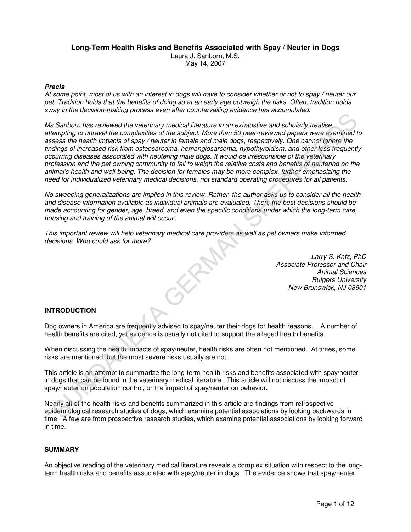# **Long-Term Health Risks and Benefits Associated with Spay / Neuter in Dogs**

Laura J. Sanborn, M.S. May 14, 2007

# **Precis**

At some point, most of us with an interest in dogs will have to consider whether or not to spay / neuter our pet. Tradition holds that the benefits of doing so at an early age outweigh the risks. Often, tradition holds sway in the decision-making process even after countervailing evidence has accumulated.

Ms Sanborn has reviewed the veterinary medical literature in an exhaustive and scholarly treatise, attempting to unravel the complexities of the subject. More than 50 peer-reviewed papers were examined to assess the health impacts of spay / neuter in female and male dogs, respectively. One cannot ignore the findings of increased risk from osteosarcoma, hemangiosarcoma, hypothyroidism, and other less frequently occurring diseases associated with neutering male dogs. It would be irresponsible of the veterinary profession and the pet owning community to fail to weigh the relative costs and benefits of neutering on the animal's health and well-being. The decision for females may be more complex, further emphasizing the need for individualized veterinary medical decisions, not standard operating procedures for all patients. Sanborn has reviewed the vaterinary medical literature in an exhaustive and scholarly treatise,<br>
Sanborn has reviewed the vaterinary medical literature in an exhaustive and scholarly treatise,<br>
tests the health impacts of

No sweeping generalizations are implied in this review. Rather, the author asks us to consider all the health and disease information available as individual animals are evaluated. Then, the best decisions should be made accounting for gender, age, breed, and even the specific conditions under which the long-term care, housing and training of the animal will occur.

This important review will help veterinary medical care providers as well as pet owners make informed decisions. Who could ask for more?

> Larry S. Katz, PhD Associate Professor and Chair Animal Sciences Rutgers University New Brunswick, NJ 08901

# **INTRODUCTION**

Dog owners in America are frequently advised to spay/neuter their dogs for health reasons. A number of health benefits are cited, yet evidence is usually not cited to support the alleged health benefits.

When discussing the health impacts of spay/neuter, health risks are often not mentioned. At times, some risks are mentioned, but the most severe risks usually are not.

This article is an attempt to summarize the long-term health risks and benefits associated with spay/neuter in dogs that can be found in the veterinary medical literature. This article will not discuss the impact of spay/neuter on population control, or the impact of spay/neuter on behavior.

Nearly all of the health risks and benefits summarized in this article are findings from retrospective epidemiological research studies of dogs, which examine potential associations by looking backwards in time. A few are from prospective research studies, which examine potential associations by looking forward in time.

### **SUMMARY**

An objective reading of the veterinary medical literature reveals a complex situation with respect to the longterm health risks and benefits associated with spay/neuter in dogs. The evidence shows that spay/neuter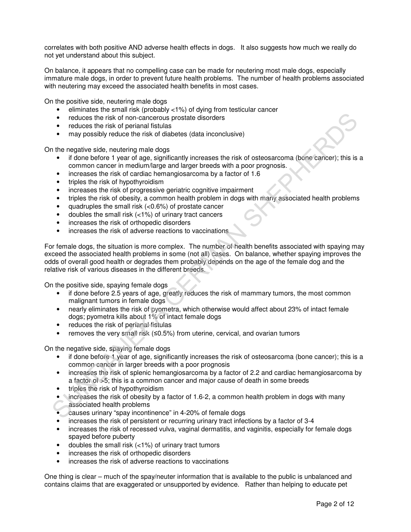correlates with both positive AND adverse health effects in dogs. It also suggests how much we really do not yet understand about this subject.

On balance, it appears that no compelling case can be made for neutering most male dogs, especially immature male dogs, in order to prevent future health problems. The number of health problems associated with neutering may exceed the associated health benefits in most cases.

On the positive side, neutering male dogs

- eliminates the small risk (probably <1%) of dying from testicular cancer
- reduces the risk of non-cancerous prostate disorders
- reduces the risk of perianal fistulas
- may possibly reduce the risk of diabetes (data inconclusive)

On the negative side, neutering male dogs

- if done before 1 year of age, significantly increases the risk of osteosarcoma (bone cancer); this is a common cancer in medium/large and larger breeds with a poor prognosis.
- increases the risk of cardiac hemangiosarcoma by a factor of 1.6
- triples the risk of hypothyroidism
- increases the risk of progressive geriatric cognitive impairment
- triples the risk of obesity, a common health problem in dogs with many associated health problems
- quadruples the small risk  $(<0.6%)$  of prostate cancer
- doubles the small risk  $\left\langle \langle 1\% \rangle \right\rangle$  of urinary tract cancers
- increases the risk of orthopedic disorders
- increases the risk of adverse reactions to vaccinations

For female dogs, the situation is more complex. The number of health benefits associated with spaying may exceed the associated health problems in some (not all) cases. On balance, whether spaying improves the odds of overall good health or degrades them probably depends on the age of the female dog and the relative risk of various diseases in the different breeds. • reduces the risk of non-ancercous provision is discussed for the reduces the risk of particular may possibly reduce the risk of diabetes (data inconclusive)<br>
the negative side, neutrino mane does<br>
if done before 1 year o

On the positive side, spaying female dogs

- if done before 2.5 years of age, greatly reduces the risk of mammary tumors, the most common malignant tumors in female dogs
- nearly eliminates the risk of pyometra, which otherwise would affect about 23% of intact female dogs; pyometra kills about 1% of intact female dogs
- reduces the risk of perianal fistulas
- removes the very small risk (≤0.5%) from uterine, cervical, and ovarian tumors

On the negative side, spaying female dogs

- if done before 1 year of age, significantly increases the risk of osteosarcoma (bone cancer); this is a common cancer in larger breeds with a poor prognosis
- increases the risk of splenic hemangiosarcoma by a factor of 2.2 and cardiac hemangiosarcoma by a factor of >5; this is a common cancer and major cause of death in some breeds
- triples the risk of hypothyroidism
- increases the risk of obesity by a factor of 1.6-2, a common health problem in dogs with many associated health problems
- causes urinary "spay incontinence" in 4-20% of female dogs
- increases the risk of persistent or recurring urinary tract infections by a factor of 3-4
- increases the risk of recessed vulva, vaginal dermatitis, and vaginitis, especially for female dogs spayed before puberty
- doubles the small risk  $(<1%)$  of urinary tract tumors
- increases the risk of orthopedic disorders
- increases the risk of adverse reactions to vaccinations

One thing is clear – much of the spay/neuter information that is available to the public is unbalanced and contains claims that are exaggerated or unsupported by evidence. Rather than helping to educate pet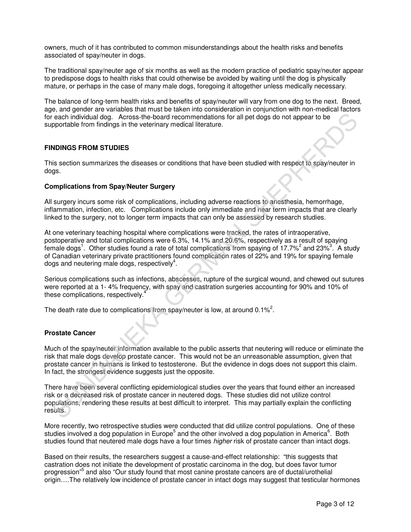owners, much of it has contributed to common misunderstandings about the health risks and benefits associated of spay/neuter in dogs.

The traditional spay/neuter age of six months as well as the modern practice of pediatric spay/neuter appear to predispose dogs to health risks that could otherwise be avoided by waiting until the dog is physically mature, or perhaps in the case of many male dogs, foregoing it altogether unless medically necessary.

The balance of long-term health risks and benefits of spay/neuter will vary from one dog to the next. Breed, age, and gender are variables that must be taken into consideration in conjunction with non-medical factors for each individual dog. Across-the-board recommendations for all pet dogs do not appear to be supportable from findings in the veterinary medical literature.

# **FINDINGS FROM STUDIES**

This section summarizes the diseases or conditions that have been studied with respect to spay/neuter in dogs.

### **Complications from Spay/Neuter Surgery**

All surgery incurs some risk of complications, including adverse reactions to anesthesia, hemorrhage, inflammation, infection, etc. Complications include only immediate and near term impacts that are clearly linked to the surgery, not to longer term impacts that can only be assessed by research studies.

At one veterinary teaching hospital where complications were tracked, the rates of intraoperative, postoperative and total complications were 6.3%, 14.1% and 20.6%, respectively as a result of spaying female dogs<sup>1</sup>. Other studies found a rate of total complications from spaying of 17.7%<sup>2</sup> and 23%<sup>3</sup>. A study of Canadian veterinary private practitioners found complication rates of 22% and 19% for spaying female dogs and neutering male dogs, respectively $4$ . reach individual dog. Across the board recommendations for all pet dogs do not appear to be<br>proportable from findings in the veterinary medical literature.<br>
NDINGS FROM STUDIES<br>
is eaction summarizes the diseases or condit

Serious complications such as infections, abscesses, rupture of the surgical wound, and chewed out sutures were reported at a 1- 4% frequency, with spay and castration surgeries accounting for 90% and 10% of these complications, respectively.<sup>4</sup>

The death rate due to complications from spay/neuter is low, at around 0.1%<sup>2</sup>.

### **Prostate Cancer**

Much of the spay/neuter information available to the public asserts that neutering will reduce or eliminate the risk that male dogs develop prostate cancer. This would not be an unreasonable assumption, given that prostate cancer in humans is linked to testosterone. But the evidence in dogs does not support this claim. In fact, the strongest evidence suggests just the opposite.

There have been several conflicting epidemiological studies over the years that found either an increased risk or a decreased risk of prostate cancer in neutered dogs. These studies did not utilize control populations, rendering these results at best difficult to interpret. This may partially explain the conflicting results.

More recently, two retrospective studies were conducted that did utilize control populations. One of these studies involved a dog population in Europe<sup>5</sup> and the other involved a dog population in America<sup>6</sup>. Both studies found that neutered male dogs have a four times *higher* risk of prostate cancer than intact dogs.

Based on their results, the researchers suggest a cause-and-effect relationship: "this suggests that castration does not initiate the development of prostatic carcinoma in the dog, but does favor tumor progression"<sup>5</sup> and also "Our study found that most canine prostate cancers are of ductal/urothelial origin….The relatively low incidence of prostate cancer in intact dogs may suggest that testicular hormones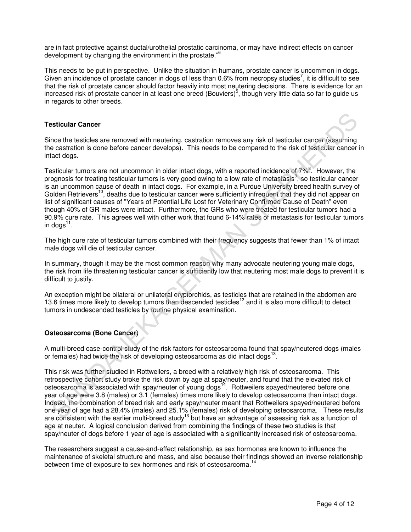are in fact protective against ductal/urothelial prostatic carcinoma, or may have indirect effects on cancer development by changing the environment in the prostate."<sup>6</sup>

This needs to be put in perspective. Unlike the situation in humans, prostate cancer is uncommon in dogs. Given an incidence of prostate cancer in dogs of less than 0.6% from necropsy studies<sup>7</sup>, it is difficult to see that the risk of prostate cancer should factor heavily into most neutering decisions. There is evidence for an increased risk of prostate cancer in at least one breed (Bouviers)<sup>5</sup>, though very little data so far to guide us in regards to other breeds.

### **Testicular Cancer**

Since the testicles are removed with neutering, castration removes any risk of testicular cancer (assuming the castration is done before cancer develops). This needs to be compared to the risk of testicular cancer in intact dogs.

Testicular tumors are not uncommon in older intact dogs, with a reported incidence of 7%<sup>8</sup>. However, the prognosis for treating testicular tumors is very good owing to a low rate of metastasis<sup>9</sup>, so testicular cancer is an uncommon cause of death in intact dogs. For example, in a Purdue University breed health survey of Golden Retrievers<sup>10</sup>, deaths due to testicular cancer were sufficiently infrequent that they did not appear on list of significant causes of "Years of Potential Life Lost for Veterinary Confirmed Cause of Death" even though 40% of GR males were intact. Furthermore, the GRs who were treated for testicular tumors had a 90.9% cure rate. This agrees well with other work that found 6-14% rates of metastasis for testicular tumors in dogs $^{11}$ . **ssticular Cancer**<br>
sticular Cancer<br>
the testicles are removed with neutering, castration removes any risk of testicular cancer (assuming<br>
castration is done before cancer develops). This needs to be compared to the risk o

The high cure rate of testicular tumors combined with their frequency suggests that fewer than 1% of intact male dogs will die of testicular cancer.

In summary, though it may be the most common reason why many advocate neutering young male dogs, the risk from life threatening testicular cancer is sufficiently low that neutering most male dogs to prevent it is difficult to justify.

An exception might be bilateral or unilateral cryptorchids, as testicles that are retained in the abdomen are 13.6 times more likely to develop tumors than descended testicles<sup>12</sup> and it is also more difficult to detect tumors in undescended testicles by routine physical examination.

# **Osteosarcoma (Bone Cancer)**

A multi-breed case-control study of the risk factors for osteosarcoma found that spay/neutered dogs (males or females) had twice the risk of developing osteosarcoma as did intact dogs $^{13}$ .

This risk was further studied in Rottweilers, a breed with a relatively high risk of osteosarcoma. This retrospective cohort study broke the risk down by age at spay/neuter, and found that the elevated risk of osteosarcoma is associated with spay/neuter of young dogs<sup>14</sup>. Rottweilers spayed/neutered before one year of age were 3.8 (males) or 3.1 (females) times more likely to develop osteosarcoma than intact dogs. Indeed, the combination of breed risk and early spay/neuter meant that Rottweilers spayed/neutered before one year of age had a 28.4% (males) and 25.1% (females) risk of developing osteosarcoma. These results are consistent with the earlier multi-breed study<sup>13</sup> but have an advantage of assessing risk as a function of age at neuter. A logical conclusion derived from combining the findings of these two studies is that spay/neuter of dogs before 1 year of age is associated with a significantly increased risk of osteosarcoma.

The researchers suggest a cause-and-effect relationship, as sex hormones are known to influence the maintenance of skeletal structure and mass, and also because their findings showed an inverse relationship between time of exposure to sex hormones and risk of osteosarcoma.<sup>14</sup>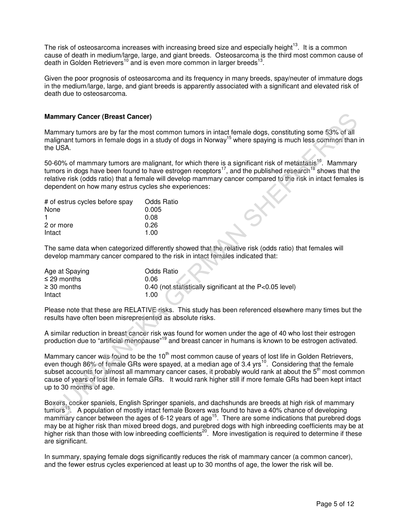The risk of osteosarcoma increases with increasing breed size and especially height<sup>13</sup>. It is a common cause of death in medium/large, large, and giant breeds. Osteosarcoma is the third most common cause of death in Golden Retrievers<sup>10</sup> and is even more common in larger breeds<sup>13</sup>.

Given the poor prognosis of osteosarcoma and its frequency in many breeds, spay/neuter of immature dogs in the medium/large, large, and giant breeds is apparently associated with a significant and elevated risk of death due to osteosarcoma.

# **Mammary Cancer (Breast Cancer)**

Mammary tumors are by far the most common tumors in intact female dogs, constituting some 53% of all malignant tumors in female dogs in a study of dogs in Norway<sup>15</sup> where spaying is much less common than in the USA.

50-60% of mammary tumors are malignant, for which there is a significant risk of metastasis<sup>16</sup>. Mammary tumors in dogs have been found to have estrogen receptors<sup>17</sup>, and the published research<sup>18</sup> shows that the relative risk (odds ratio) that a female will develop mammary cancer compared to the risk in intact females is dependent on how many estrus cycles she experiences:

| # of estrus cycles before spay | <b>Odds Ratio</b> |
|--------------------------------|-------------------|
| None                           | 0.005             |
|                                | 0.08              |
| 2 or more                      | 0.26              |
| Intact                         | 1.00              |

The same data when categorized differently showed that the relative risk (odds ratio) that females will develop mammary cancer compared to the risk in intact females indicated that:

| Age at Spaying   | <b>Odds Ratio</b>                                        |
|------------------|----------------------------------------------------------|
| $\leq$ 29 months | 0.06                                                     |
| $\geq$ 30 months | 0.40 (not statistically significant at the P<0.05 level) |
| Intact           | 1.00                                                     |

Please note that these are RELATIVE risks. This study has been referenced elsewhere many times but the results have often been misrepresented as absolute risks.

A similar reduction in breast cancer risk was found for women under the age of 40 who lost their estrogen production due to "artificial menopause"<sup>19</sup> and breast cancer in humans is known to be estrogen activated.

Mammary cancer was found to be the 10<sup>th</sup> most common cause of years of lost life in Golden Retrievers, even though 86% of female GRs were spayed, at a median age of  $3.4$  yrs<sup>10</sup>. Considering that the female subset accounts for almost all mammary cancer cases, it probably would rank at about the  $5<sup>th</sup>$  most common cause of years of lost life in female GRs. It would rank higher still if more female GRs had been kept intact up to 30 months of age. **ammary Cancer (Breast Cancer)**<br>
allignant turnors are by far the most common turnors in interaformance dogs, constituting some 53% of all<br>
allignant turnors in lenst ledge in a study of dogs in Norway<sup>19</sup> where spaying is

Boxers, cocker spaniels, English Springer spaniels, and dachshunds are breeds at high risk of mammary tumors<sup>15</sup>. A population of mostly intact female Boxers was found to have a 40% chance of developing mammary cancer between the ages of 6-12 years of age<sup>15</sup>. There are some indications that purebred dogs may be at higher risk than mixed breed dogs, and purebred dogs with high inbreeding coefficients may be at higher risk than those with low inbreeding coefficients<sup>20</sup>. More investigation is required to determine if these are significant.

In summary, spaying female dogs significantly reduces the risk of mammary cancer (a common cancer), and the fewer estrus cycles experienced at least up to 30 months of age, the lower the risk will be.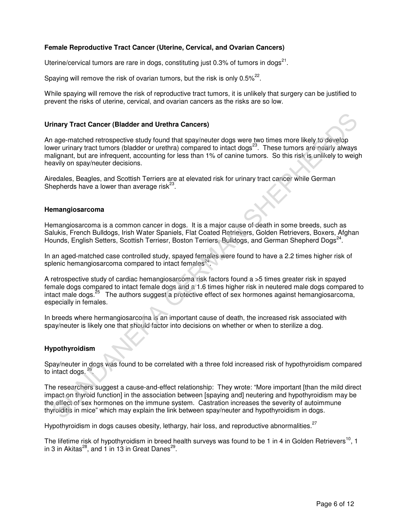# **Female Reproductive Tract Cancer (Uterine, Cervical, and Ovarian Cancers)**

Uterine/cervical tumors are rare in dogs, constituting just 0.3% of tumors in dogs<sup>21</sup>.

Spaying will remove the risk of ovarian tumors, but the risk is only 0.5% $^{22}$ .

While spaying will remove the risk of reproductive tract tumors, it is unlikely that surgery can be justified to prevent the risks of uterine, cervical, and ovarian cancers as the risks are so low.

#### **Urinary Tract Cancer (Bladder and Urethra Cancers)**

An age-matched retrospective study found that spay/neuter dogs were two times more likely to develop lower urinary tract tumors (bladder or urethra) compared to intact dogs<sup>23</sup>. These tumors are nearly always malignant, but are infrequent, accounting for less than 1% of canine tumors. So this risk is unlikely to weigh heavily on spay/neuter decisions. rinary Tract Cancer (Bladder and Urethra Cancers)<br>
age-matched retrospective study found that spay/neuter dogs were two times more likely to develop<br>
over urinary tract tumors (bladder or urethra) compared to intact dogs<sup>2</sup>

Airedales, Beagles, and Scottish Terriers are at elevated risk for urinary tract cancer while German Shepherds have a lower than average risk $^{23}$ .

#### **Hemangiosarcoma**

Hemangiosarcoma is a common cancer in dogs. It is a major cause of death in some breeds, such as Salukis, French Bulldogs, Irish Water Spaniels, Flat Coated Retrievers, Golden Retrievers, Boxers, Afghan Hounds, English Setters, Scottish Terriesr, Boston Terriers, Bulldogs, and German Shepherd Dogs<sup>24</sup>.

In an aged-matched case controlled study, spayed females were found to have a 2.2 times higher risk of splenic hemangiosarcoma compared to intact females $^{24}$ .

A retrospective study of cardiac hemangiosarcoma risk factors found a >5 times greater risk in spayed female dogs compared to intact female dogs and a 1.6 times higher risk in neutered male dogs compared to intact male dogs.<sup>25</sup> The authors suggest a protective effect of sex hormones against hemangiosarcoma, especially in females.

In breeds where hermangiosarcoma is an important cause of death, the increased risk associated with spay/neuter is likely one that should factor into decisions on whether or when to sterilize a dog.

### **Hypothyroidism**

Spay/neuter in dogs was found to be correlated with a three fold increased risk of hypothyroidism compared to intact dogs.  $26$ .

The researchers suggest a cause-and-effect relationship: They wrote: "More important [than the mild direct impact on thyroid function] in the association between [spaying and] neutering and hypothyroidism may be the effect of sex hormones on the immune system. Castration increases the severity of autoimmune thyroiditis in mice" which may explain the link between spay/neuter and hypothyroidism in dogs.

Hypothyroidism in dogs causes obesity, lethargy, hair loss, and reproductive abnormalities. $27$ 

The lifetime risk of hypothyroidism in breed health surveys was found to be 1 in 4 in Golden Retrievers<sup>10</sup>, 1 in 3 in Akitas<sup>28</sup>, and 1 in 13 in Great Danes<sup>29</sup>.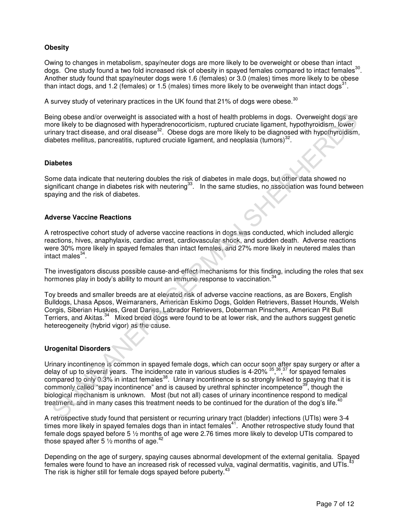# **Obesity**

Owing to changes in metabolism, spay/neuter dogs are more likely to be overweight or obese than intact dogs. One study found a two fold increased risk of obesity in spayed females compared to intact females<sup>30</sup>. Another study found that spay/neuter dogs were 1.6 (females) or 3.0 (males) times more likely to be obese than intact dogs, and 1.2 (females) or 1.5 (males) times more likely to be overweight than intact dogs<sup>31</sup>.

A survey study of veterinary practices in the UK found that 21% of dogs were obese.<sup>30</sup>

Being obese and/or overweight is associated with a host of health problems in dogs. Overweight dogs are more likely to be diagnosed with hyperadrenocorticism, ruptured cruciate ligament, hypothyroidism, lower urinary tract disease, and oral disease<sup>32</sup>. Obese dogs are more likely to be diagnosed with hypothyroidism, diabetes mellitus, pancreatitis, ruptured cruciate ligament, and neoplasia (tumors) $32$ .

### **Diabetes**

Some data indicate that neutering doubles the risk of diabetes in male dogs, but other data showed no significant change in diabetes risk with neutering<sup>33</sup>. In the same studies, no association was found between spaying and the risk of diabetes.

#### **Adverse Vaccine Reactions**

A retrospective cohort study of adverse vaccine reactions in dogs was conducted, which included allergic reactions, hives, anaphylaxis, cardiac arrest, cardiovascular shock, and sudden death. Adverse reactions were 30% more likely in spayed females than intact females, and 27% more likely in neutered males than intact males<sup>34</sup>.

The investigators discuss possible cause-and-effect mechanisms for this finding, including the roles that sex hormones play in body's ability to mount an immune response to vaccination.<sup>34</sup>

Toy breeds and smaller breeds are at elevated risk of adverse vaccine reactions, as are Boxers, English Bulldogs, Lhasa Apsos, Weimaraners, American Eskimo Dogs, Golden Retrievers, Basset Hounds, Welsh Corgis, Siberian Huskies, Great Danes, Labrador Retrievers, Doberman Pinschers, American Pit Bull Terriers, and Akitas.<sup>34</sup> Mixed breed dogs were found to be at lower risk, and the authors suggest genetic hetereogeneity (hybrid vigor) as the cause.

## **Urogenital Disorders**

Urinary incontinence is common in spayed female dogs, which can occur soon after spay surgery or after a delay of up to several years. The incidence rate in various studies is 4-20% <sup>35,36</sup>,<sup>37</sup> for spayed females compared to only 0.3% in intact females<sup>38</sup>. Urinary incontinence is so strongly linked to spaying that it is commonly called "spay incontinence" and is caused by urethral sphincter incompetence<sup>39</sup>, though the biological mechanism is unknown. Most (but not all) cases of urinary incontinence respond to medical treatment, and in many cases this treatment needs to be continued for the duration of the dog's life.<sup>4</sup> bing obses and/or owerwelpt is associated with a host of health problems in dogs. Overwelching operations and the most of the displacement, hypothyroidism, over the principle or the same interval for the displacement with

A retrospective study found that persistent or recurring urinary tract (bladder) infections (UTIs) were 3-4 times more likely in spayed females dogs than in intact females<sup>41</sup>. Another retrospective study found that female dogs spayed before 5 ½ months of age were 2.76 times more likely to develop UTIs compared to those spayed after 5  $\frac{1}{2}$  months of age.<sup>42</sup>

Depending on the age of surgery, spaying causes abnormal development of the external genitalia. Spayed females were found to have an increased risk of recessed vulva, vaginal dermatitis, vaginitis, and UTIs.<sup>4</sup> The risk is higher still for female dogs spayed before puberty.<sup>4</sup>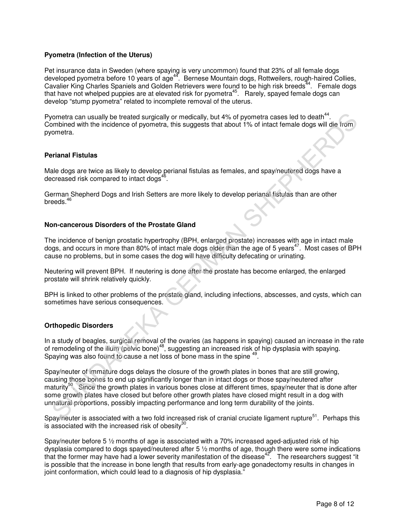# **Pyometra (Infection of the Uterus)**

Pet insurance data in Sweden (where spaying is very uncommon) found that 23% of all female dogs developed pyometra before 10 years of age<sup>44</sup>. Bernese Mountain dogs, Rottweilers, rough-haired Collies, Cavalier King Charles Spaniels and Golden Retrievers were found to be high risk breeds<sup>44</sup>. Female dogs that have not whelped puppies are at elevated risk for pyometra<sup>45</sup>. Rarely, spayed female dogs can develop "stump pyometra" related to incomplete removal of the uterus.

Pyometra can usually be treated surgically or medically, but 4% of pyometra cases led to death $44$ . Combined with the incidence of pyometra, this suggests that about 1% of intact female dogs will die from pyometra.

# **Perianal Fistulas**

Male dogs are twice as likely to develop perianal fistulas as females, and spay/neutered dogs have a decreased risk compared to intact dogs<sup>46</sup>.

German Shepherd Dogs and Irish Setters are more likely to develop perianal fistulas than are other breeds. $46$ 

### **Non-cancerous Disorders of the Prostate Gland**

The incidence of benign prostatic hypertrophy (BPH, enlarged prostate) increases with age in intact male dogs, and occurs in more than 80% of intact male dogs older than the age of 5 years<sup>47</sup>. Most cases of BPH cause no problems, but in some cases the dog will have difficulty defecating or urinating.

Neutering will prevent BPH. If neutering is done after the prostate has become enlarged, the enlarged prostate will shrink relatively quickly.

BPH is linked to other problems of the prostate gland, including infections, abscesses, and cysts, which can sometimes have serious consequences.

# **Orthopedic Disorders**

In a study of beagles, surgical removal of the ovaries (as happens in spaying) caused an increase in the rate of remodeling of the ilium (pelvic bone)<sup>48</sup>, suggesting an increased risk of hip dysplasia with spaying. Spaying was also found to cause a net loss of bone mass in the spine <sup>49</sup> .

Spay/neuter of immature dogs delays the closure of the growth plates in bones that are still growing, causing those bones to end up significantly longer than in intact dogs or those spay/neutered after maturity<sup>50</sup>. Since the growth plates in various bones close at different times, spay/neuter that is done after some growth plates have closed but before other growth plates have closed might result in a dog with unnatural proportions, possibly impacting performance and long term durability of the joints. orontra can usually be treated surgically or medically, but 4% of pyometra cases led to death<sup>14</sup>.<br>
Sumbined with the incidence of pyometra, this suggests that about 1% of intact fermale dogs will die from<br>
phonetra.<br> **Ext** 

Spay/neuter is associated with a two fold increased risk of cranial cruciate ligament rupture<sup>51</sup>. Perhaps this is associated with the increased risk of obesity $^{30}$ .

Spay/neuter before 5 ½ months of age is associated with a 70% increased aged-adjusted risk of hip dysplasia compared to dogs spayed/neutered after 5 ½ months of age, though there were some indications that the former may have had a lower severity manifestation of the disease<sup>42</sup>. The researchers suggest "it is possible that the increase in bone length that results from early-age gonadectomy results in changes in joint conformation, which could lead to a diagnosis of hip dysplasia."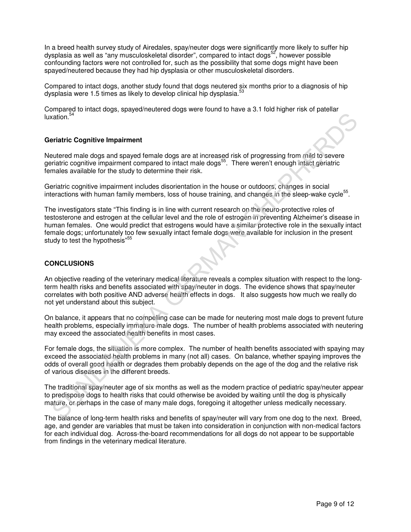In a breed health survey study of Airedales, spay/neuter dogs were significantly more likely to suffer hip dysplasia as well as "any musculoskeletal disorder", compared to intact dogs<sup>52</sup>, however possible confounding factors were not controlled for, such as the possibility that some dogs might have been spayed/neutered because they had hip dysplasia or other musculoskeletal disorders.

Compared to intact dogs, another study found that dogs neutered six months prior to a diagnosis of hip dysplasia were 1.5 times as likely to develop clinical hip dysplasia.<sup>53</sup>

Compared to intact dogs, spayed/neutered dogs were found to have a 3.1 fold higher risk of patellar luxation.<sup>54</sup>

# **Geriatric Cognitive Impairment**

Neutered male dogs and spayed female dogs are at increased risk of progressing from mild to severe geriatric cognitive impairment compared to intact male dogs<sup>55</sup>. There weren't enough intact geriatric females available for the study to determine their risk.

Geriatric cognitive impairment includes disorientation in the house or outdoors, changes in social interactions with human family members, loss of house training, and changes in the sleep-wake cycle<sup>55</sup>.

The investigators state "This finding is in line with current research on the neuro-protective roles of testosterone and estrogen at the cellular level and the role of estrogen in preventing Alzheimer's disease in human females. One would predict that estrogens would have a similar protective role in the sexually intact female dogs; unfortunately too few sexually intact female dogs were available for inclusion in the present study to test the hypothesis"<sup>5</sup> eriatric Cognitive Impairment<br>
eriatric Cognitive Impairment<br>
eriatric Cognitive Impairment<br>
sultered male dogs and spayed female dogs are at increased risk of progressing from mild to severe<br>
eriatric cognitive impairment

# **CONCLUSIONS**

An objective reading of the veterinary medical literature reveals a complex situation with respect to the longterm health risks and benefits associated with spay/neuter in dogs. The evidence shows that spay/neuter correlates with both positive AND adverse health effects in dogs. It also suggests how much we really do not yet understand about this subject.

On balance, it appears that no compelling case can be made for neutering most male dogs to prevent future health problems, especially immature male dogs. The number of health problems associated with neutering may exceed the associated health benefits in most cases.

For female dogs, the situation is more complex. The number of health benefits associated with spaying may exceed the associated health problems in many (not all) cases. On balance, whether spaying improves the odds of overall good health or degrades them probably depends on the age of the dog and the relative risk of various diseases in the different breeds.

The traditional spay/neuter age of six months as well as the modern practice of pediatric spay/neuter appear to predispose dogs to health risks that could otherwise be avoided by waiting until the dog is physically mature, or perhaps in the case of many male dogs, foregoing it altogether unless medically necessary.

The balance of long-term health risks and benefits of spay/neuter will vary from one dog to the next. Breed, age, and gender are variables that must be taken into consideration in conjunction with non-medical factors for each individual dog. Across-the-board recommendations for all dogs do not appear to be supportable from findings in the veterinary medical literature.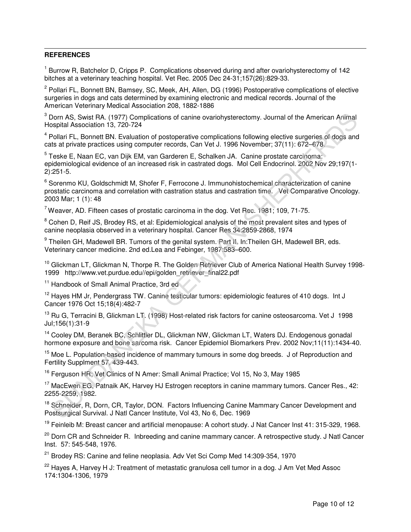#### -**REFERENCES**

<sup>1</sup> Burrow R, Batchelor D, Cripps P. Complications observed during and after ovariohysterectomy of 142 bitches at a veterinary teaching hospital. Vet Rec. 2005 Dec 24-31;157(26):829-33.

<sup>2</sup> Pollari FL, Bonnett BN, Bamsey, SC, Meek, AH, Allen, DG (1996) Postoperative complications of elective surgeries in dogs and cats determined by examining electronic and medical records. Journal of the American Veterinary Medical Association 208, 1882-1886

 $3$  Dorn AS, Swist RA. (1977) Complications of canine ovariohysterectomy. Journal of the American Animal Hospital Association 13, 720-724

<sup>4</sup> Pollari FL, Bonnett BN. Evaluation of postoperative complications following elective surgeries of dogs and cats at private practices using computer records, Can Vet J. 1996 November; 37(11): 672–678.

<sup>5</sup> Teske E, Naan EC, van Dijk EM, van Garderen E, Schalken JA. Canine prostate carcinoma: epidemiological evidence of an increased risk in castrated dogs. Mol Cell Endocrinol. 2002 Nov 29;197(1- 2):251-5.

<sup>6</sup> Sorenmo KU, Goldschmidt M, Shofer F, Ferrocone J. Immunohistochemical characterization of canine prostatic carcinoma and correlation with castration status and castration time. Vet Comparative Oncology. 2003 Mar; 1 (1): 48 Dom AS, Swist RA, (1977), Compilcations of canine ovariohysterectomy, Journal of the American Antimal<br>Pollari A. Soviet RA, (1977), Compilcations of pathomal complications following elective surgeries of dops and<br>Pollari F

 $7$  Weaver, AD. Fifteen cases of prostatic carcinoma in the dog. Vet Rec. 1981; 109, 71-75.

<sup>8</sup> Cohen D, Reif JS, Brodey RS, et al: Epidemiological analysis of the most prevalent sites and types of canine neoplasia observed in a veterinary hospital. Cancer Res 34:2859-2868, 1974

<sup>9</sup> Theilen GH, Madewell BR. Tumors of the genital system. Part II. In:Theilen GH, Madewell BR, eds. Veterinary cancer medicine. 2nd ed.Lea and Febinger, 1987:583–600.

<sup>10</sup> Glickman LT, Glickman N, Thorpe R. The Golden Retriever Club of America National Health Survey 1998-1999 http://www.vet.purdue.edu//epi/golden\_retriever\_final22.pdf

<sup>11</sup> Handbook of Small Animal Practice, 3rd ed

<sup>12</sup> Hayes HM Jr, Pendergrass TW. Canine testicular tumors: epidemiologic features of 410 dogs. Int J Cancer 1976 Oct 15;18(4):482-7

<sup>13</sup> Ru G. Terracini B. Glickman LT. (1998) Host-related risk factors for canine osteosarcoma. Vet J 1998 Jul;156(1):31-9

<sup>14</sup> Cooley DM, Beranek BC, Schlittler DL, Glickman NW, Glickman LT, Waters DJ. Endogenous gonadal hormone exposure and bone sarcoma risk. Cancer Epidemiol Biomarkers Prev. 2002 Nov;11(11):1434-40.

 $15$  Moe L. Population-based incidence of mammary tumours in some dog breeds. J of Reproduction and Fertility Supplment 57, 439-443.

<sup>16</sup> Ferguson HR; Vet Clinics of N Amer: Small Animal Practice; Vol 15, No 3, May 1985

<sup>17</sup> MacEwen EG, Patnaik AK, Harvey HJ Estrogen receptors in canine mammary tumors. Cancer Res., 42: 2255-2259, 1982.

<sup>18</sup> Schneider, R, Dorn, CR, Taylor, DON. Factors Influencing Canine Mammary Cancer Development and Postsurgical Survival. J Natl Cancer Institute, Vol 43, No 6, Dec. 1969

<sup>19</sup> Feinleib M: Breast cancer and artificial menopause: A cohort study. J Nat Cancer Inst 41: 315-329, 1968.

<sup>20</sup> Dorn CR and Schneider R. Inbreeding and canine mammary cancer. A retrospective study. J Natl Cancer Inst. 57: 545-548, 1976.

 $21$  Brodey RS: Canine and feline neoplasia. Adv Vet Sci Comp Med 14:309-354, 1970

<sup>22</sup> Hayes A, Harvey H J: Treatment of metastatic granulosa cell tumor in a dog. J Am Vet Med Assoc 174:1304-1306, 1979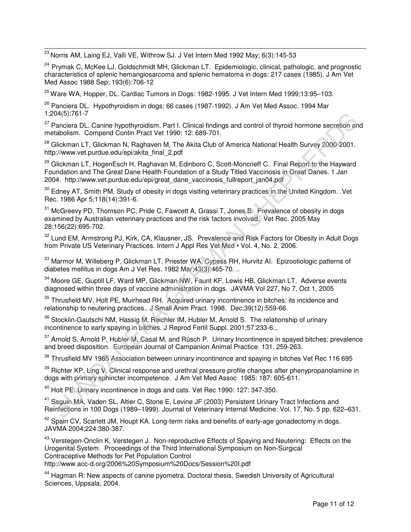$\overline{a}$  $^{23}$  Norris AM, Laing EJ, Valli VE, Withrow SJ. J Vet Intern Med 1992 May; 6(3):145-53

<sup>24</sup> Prymak C, McKee LJ, Goldschmidt MH, Glickman LT. Epidemiologic, clinical, pathologic, and prognostic characteristics of splenic hemangiosarcoma and splenic hematoma in dogs: 217 cases (1985). J Am Vet Med Assoc 1988 Sep; 193(6):706-12

 $25$  Ware WA, Hopper, DL, Cardiac Tumors in Dogs: 1982-1995. J Vet Intern Med 1999:13:95–103.

<sup>26</sup> Panciera DL. Hypothyroidism in dogs: 66 cases (1987-1992). J Am Vet Med Assoc. 1994 Mar 1;204(5):761-7

<sup>27</sup> Panciera DL. Canine hypothyroidism. Part I. Clinical findings and control of thyroid hormone secretion and metabolism. Compend Contin Pract Vet 1990: 12: 689-701.

<sup>28</sup> Glickman LT, Glickman N, Raghaven M, The Akita Club of America National Health Survey 2000-2001. http://www.vet.purdue.edu/epi/akita\_final\_2.pdf

<sup>29</sup> Glickman LT, HogenEsch H, Raghavan M, Edinboro C, Scott-Moncrieff C. Final Report to the Hayward Foundation and The Great Dane Health Foundation of a Study Titled Vaccinosis in Great Danes. 1 Jan 2004. http://www.vet.purdue.edu/epi/great\_dane\_vaccinosis\_fullreport\_jan04.pdf 204(5):761-7<br>Panciera DL. Canine hypothyroidism. Part I. Clinical findings and control of thyroid hormone secretion an<br>Flatolism. Compend Contin Pract Vet 1980: 12: 689-701.<br>
Gliektman NT, Gliektman N, Raghaven M, The Akit

<sup>30</sup> Edney AT, Smith PM. Study of obesity in dogs visiting veterinary practices in the United Kingdom. .Vet Rec. 1986 Apr 5;118(14):391-6.

<sup>31</sup> McGreevy PD, Thomson PC, Pride C, Fawcett A, Grassi T, Jones B. Prevalence of obesity in dogs examined by Australian veterinary practices and the risk factors involved. Vet Rec. 2005 May 28;156(22):695-702.

<sup>32</sup> Lund EM, Armstrong PJ, Kirk, CA, Klausner, JS. Prevalence and Risk Factors for Obesity in Adult Dogs from Private US Veterinary Practices. Intern J Appl Res Vet Med • Vol. 4, No. 2, 2006.

<sup>33</sup> Marmor M, Willeberg P, Glickman LT, Priester WA, Cypess RH, Hurvitz AI. Epizootiologic patterns of diabetes mellitus in dogs Am J Vet Res. 1982 Mar;43(3):465-70. ..

<sup>34</sup> Moore GE, Guptill LF, Ward MP, Glickman NW, Faunt KF, Lewis HB, Glickman LT. Adverse events diagnosed within three days of vaccine administration in dogs. JAVMA Vol 227, No 7, Oct 1, 2005

<sup>35</sup> Thrusfield MV, Holt PE, Muirhead RH. Acquired urinary incontinence in bitches: its incidence and relationship to neutering practices.. J Small Anim Pract. 1998. Dec;39(12):559-66.

<sup>36</sup> Stocklin-Gautschi NM, Hassig M, Reichler IM, Hubler M, Arnold S. The relationship of urinary incontinence to early spaying in bitches. J Reprod Fertil Suppl. 2001;57:233-6...

<sup>37</sup> Arnold S, Arnold P, Hubler M, Casal M, and Rüsch P. Urinary Incontinence in spayed bitches: prevalence and breed disposition. European Journal of Campanion Animal Practice. 131, 259-263.

<sup>38</sup> Thrusfield MV 1985 Association between urinary incontinence and spaying in bitches Vet Rec 116 695

<sup>39</sup> Richter KP, Ling V. Clinical response and urethral pressure profile changes after phenypropanolamine in dogs with primary sphincter incompetence. J Am Vet Med Assoc 1985: 187: 605-611.

<sup>40</sup> Holt PE. Urinary incontinence in dogs and cats. Vet Rec 1990: 127: 347-350.

<sup>41</sup> Seguin MA, Vaden SL, Altier C, Stone E, Levine JF (2003) Persistent Urinary Tract Infections and Reinfections in 100 Dogs (1989–1999). Journal of Veterinary Internal Medicine: Vol. 17, No. 5 pp. 622–631.

<sup>42</sup> Spain CV, Scarlett JM, Houpt KA. Long-term risks and benefits of early-age gonadectomy in dogs. JAVMA 2004;224:380-387.

<sup>43</sup> Verstegen-Onclin K, Verstegen J. Non-reproductive Effects of Spaying and Neutering: Effects on the Urogenital System. Proceedings of the Third International Symposium on Non-Surgical Contraceptive Methods for Pet Population Control

http://www.acc-d.org/2006%20Symposium%20Docs/Session%20I.pdf

<sup>44</sup> Hagman R: New aspects of canine pyometra. Doctoral thesis, Swedish University of Agricultural Sciences, Uppsala, 2004.